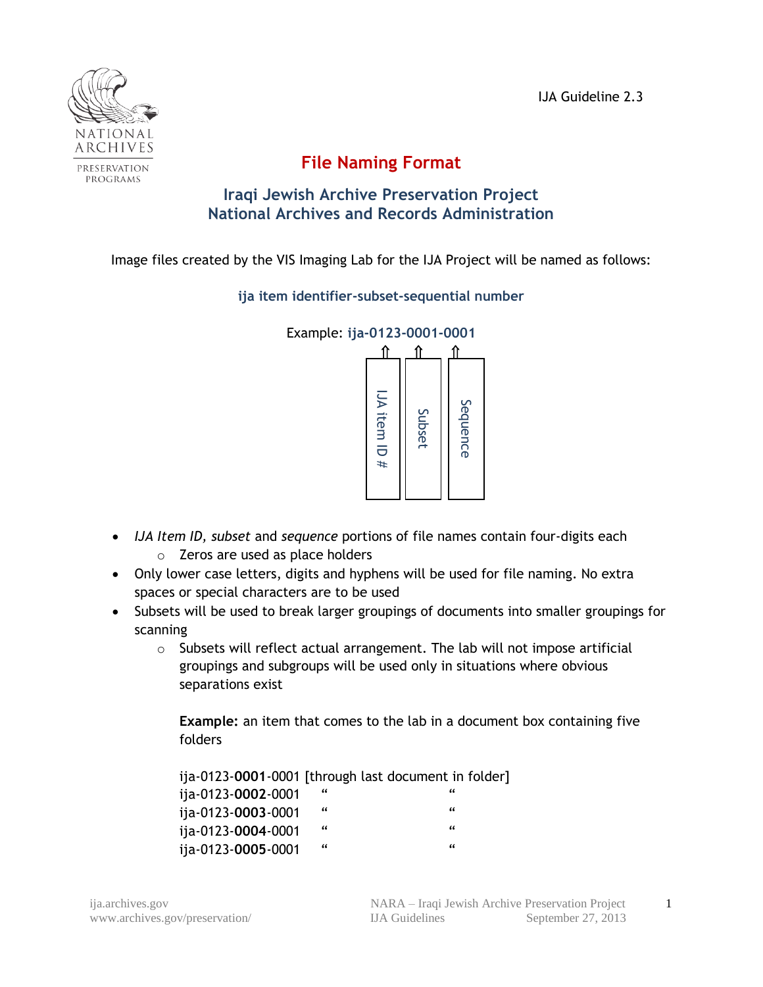IJA Guideline 2.3



## **File Naming Format**

## **Iraqi Jewish Archive Preservation Project National Archives and Records Administration**

Image files created by the VIS Imaging Lab for the IJA Project will be named as follows:

**ija item identifier-subset-sequential number**



- *IJA Item ID, subset* and *sequence* portions of file names contain four-digits each o Zeros are used as place holders
- Only lower case letters, digits and hyphens will be used for file naming. No extra spaces or special characters are to be used
- Subsets will be used to break larger groupings of documents into smaller groupings for scanning
	- o Subsets will reflect actual arrangement. The lab will not impose artificial groupings and subgroups will be used only in situations where obvious separations exist

**Example:** an item that comes to the lab in a document box containing five folders

|                                                                                                                                                                                                                                                                                                                                                                                                     |            | $J$ A item ID # | Subset | Sequence |  |
|-----------------------------------------------------------------------------------------------------------------------------------------------------------------------------------------------------------------------------------------------------------------------------------------------------------------------------------------------------------------------------------------------------|------------|-----------------|--------|----------|--|
| n ID, subset and sequence portions of file names conta<br>Zeros are used as place holders<br>wer case letters, digits and hyphens will be used for f<br>or special characters are to be used<br>will be used to break larger groupings of documents i<br>ıg<br>Subsets will reflect actual arrangement. The lab will<br>groupings and subgroups will be used only in situation<br>separations exist |            |                 |        |          |  |
| <b>Example:</b> an item that comes to the lab in a documer<br>folders                                                                                                                                                                                                                                                                                                                               |            |                 |        |          |  |
| ija-0123-0001-0001 [through last document in folder]<br>ija-0123-0002-0001                                                                                                                                                                                                                                                                                                                          |            |                 |        |          |  |
| ija-0123-0003-0001                                                                                                                                                                                                                                                                                                                                                                                  | $\epsilon$ |                 |        | "        |  |
| ija-0123-0004-0001                                                                                                                                                                                                                                                                                                                                                                                  | "          |                 |        | "        |  |
| ija-0123-0005-0001                                                                                                                                                                                                                                                                                                                                                                                  | "          |                 |        | "        |  |